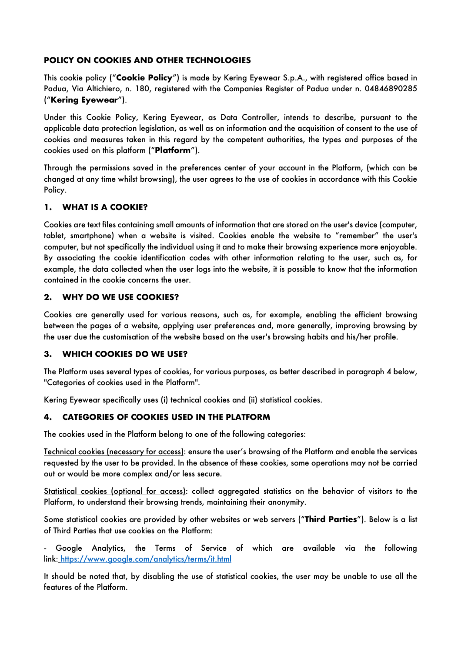## **POLICY ON COOKIES AND OTHER TECHNOLOGIES**

This cookie policy ("**Cookie Policy**") is made by Kering Eyewear S.p.A., with registered office based in Padua, Via Altichiero, n. 180, registered with the Companies Register of Padua under n. 04846890285 ("**Kering Eyewear**").

Under this Cookie Policy, Kering Eyewear, as Data Controller, intends to describe, pursuant to the applicable data protection legislation, as well as on information and the acquisition of consent to the use of cookies and measures taken in this regard by the competent authorities, the types and purposes of the cookies used on this platform ("**Platform**").

Through the permissions saved in the preferences center of your account in the Platform, (which can be changed at any time whilst browsing), the user agrees to the use of cookies in accordance with this Cookie Policy.

#### **1. WHAT IS A COOKIE?**

Cookies are text files containing small amounts of information that are stored on the user's device (computer, tablet, smartphone) when a website is visited. Cookies enable the website to "remember" the user's computer, but not specifically the individual using it and to make their browsing experience more enjoyable. By associating the cookie identification codes with other information relating to the user, such as, for example, the data collected when the user logs into the website, it is possible to know that the information contained in the cookie concerns the user.

#### **2. WHY DO WE USE COOKIES?**

Cookies are generally used for various reasons, such as, for example, enabling the efficient browsing between the pages of a website, applying user preferences and, more generally, improving browsing by the user due the customisation of the website based on the user's browsing habits and his/her profile.

#### **3. WHICH COOKIES DO WE USE?**

The Platform uses several types of cookies, for various purposes, as better described in paragraph 4 below, "Categories of cookies used in the Platform".

Kering Eyewear specifically uses (i) technical cookies and (ii) statistical cookies.

## **4. CATEGORIES OF COOKIES USED IN THE PLATFORM**

The cookies used in the Platform belong to one of the following categories:

Technical cookies (necessary for access): ensure the user's browsing of the Platform and enable the services requested by the user to be provided. In the absence of these cookies, some operations may not be carried out or would be more complex and/or less secure.

Statistical cookies (optional for access): collect aggregated statistics on the behavior of visitors to the Platform, to understand their browsing trends, maintaining their anonymity.

Some statistical cookies are provided by other websites or web servers ("**Third Parties**"). Below is a list of Third Parties that use cookies on the Platform:

- Google Analytics, the Terms of Service of which are available via the following link: https://www.google.com/analytics/terms/it.html

It should be noted that, by disabling the use of statistical cookies, the user may be unable to use all the features of the Platform.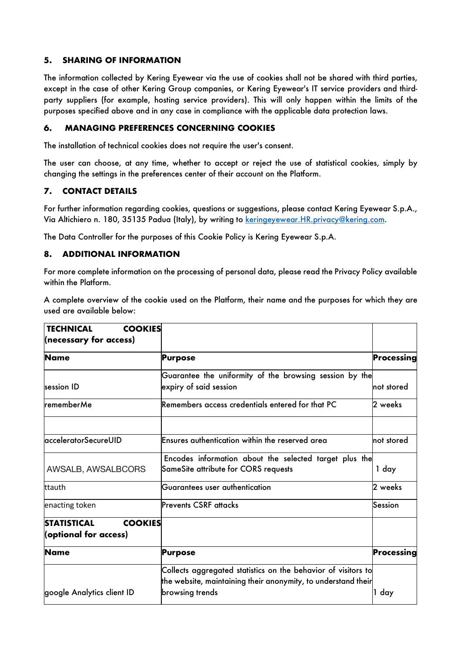## **5. SHARING OF INFORMATION**

The information collected by Kering Eyewear via the use of cookies shall not be shared with third parties, except in the case of other Kering Group companies, or Kering Eyewear's IT service providers and thirdparty suppliers (for example, hosting service providers). This will only happen within the limits of the purposes specified above and in any case in compliance with the applicable data protection laws.

#### **6. MANAGING PREFERENCES CONCERNING COOKIES**

The installation of technical cookies does not require the user's consent.

The user can choose, at any time, whether to accept or reject the use of statistical cookies, simply by changing the settings in the preferences center of their account on the Platform.

## **7. CONTACT DETAILS**

For further information regarding cookies, questions or suggestions, please contact Kering Eyewear S.p.A., Via Altichiero n. 180, 35135 Padua (Italy), by writing to keringeyewear.HR.privacy@kering.com.

The Data Controller for the purposes of this Cookie Policy is Kering Eyewear S.p.A.

## **8. ADDITIONAL INFORMATION**

For more complete information on the processing of personal data, please read the Privacy Policy available within the Platform.

A complete overview of the cookie used on the Platform, their name and the purposes for which they are used are available below:

| <b>TECHNICAL</b><br><b>COOKIES</b>   |                                                               |             |
|--------------------------------------|---------------------------------------------------------------|-------------|
| (necessary for access)               |                                                               |             |
| <b>Name</b>                          | <b>Purpose</b>                                                | Processing  |
|                                      | Guarantee the uniformity of the browsing session by the       |             |
| session ID                           | expiry of said session                                        | Inot stored |
| <b>rememberMe</b>                    | Remembers access credentials entered for that PC              | 2 weeks     |
| acceleratorSecureUID                 | Ensures authentication within the reserved area               | Inot stored |
|                                      |                                                               |             |
|                                      | Encodes information about the selected target plus the        |             |
| AWSALB, AWSALBCORS                   | SameSite attribute for CORS requests                          | 1 day       |
| ttauth                               | Guarantees user authentication                                | 2 weeks     |
| enacting token                       | Prevents CSRF attacks                                         | Session     |
| <b>STATISTICAL</b><br><b>COOKIES</b> |                                                               |             |
| (optional for access)                |                                                               |             |
| <b>Name</b>                          | Purpose                                                       | Processing  |
|                                      | Collects aggregated statistics on the behavior of visitors to |             |
|                                      | the website, maintaining their anonymity, to understand their |             |
| google Analytics client ID           | browsing trends                                               | 1 day       |